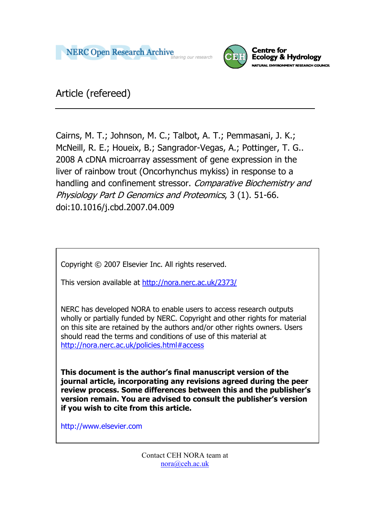



Article (refereed)

Cairns, M. T.; Johnson, M. C.; Talbot, A. T.; Pemmasani, J. K.; McNeill, R. E.; Houeix, B.; Sangrador-Vegas, A.; Pottinger, T. G.. 2008 A cDNA microarray assessment of gene expression in the liver of rainbow trout (Oncorhynchus mykiss) in response to a handling and confinement stressor. Comparative Biochemistry and Physiology Part D Genomics and Proteomics, 3 (1). 51-66. doi:10.1016/j.cbd.2007.04.009

Copyright © 2007 Elsevier Inc. All rights reserved.

This version available at [http://nora.nerc.ac.uk/2373/](http://nora.nerc.ac.uk/1360/)

NERC has developed NORA to enable users to access research outputs wholly or partially funded by NERC. Copyright and other rights for material on this site are retained by the authors and/or other rights owners. Users should read the terms and conditions of use of this material at <http://nora.nerc.ac.uk/policies.html#access>

**This document is the author's final manuscript version of the journal article, incorporating any revisions agreed during the peer review process. Some differences between this and the publisher's version remain. You are advised to consult the publisher's version if you wish to cite from this article.** 

http://www.elsevier.com

Contact CEH NORA team at [nora@ceh.ac.uk](mailto:nora@ceh.ac.uk)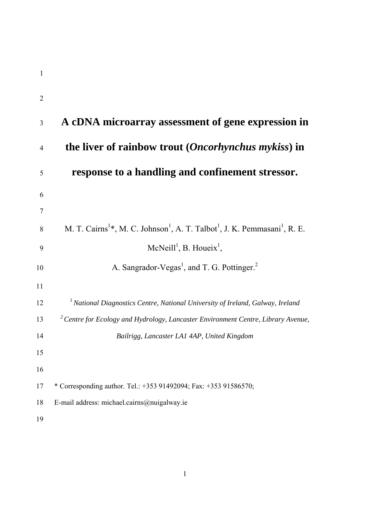| $\overline{2}$ |                                                                                                                            |
|----------------|----------------------------------------------------------------------------------------------------------------------------|
| 3              | A cDNA microarray assessment of gene expression in                                                                         |
| $\overline{4}$ | the liver of rainbow trout ( <i>Oncorhynchus mykiss</i> ) in                                                               |
| 5              | response to a handling and confinement stressor.                                                                           |
| 6              |                                                                                                                            |
| 7              |                                                                                                                            |
| 8              | M. T. Cairns <sup>1</sup> *, M. C. Johnson <sup>1</sup> , A. T. Talbot <sup>1</sup> , J. K. Pemmasani <sup>1</sup> , R. E. |
| 9              | McNeill <sup>1</sup> , B. Houeix <sup>1</sup> ,                                                                            |
| 10             | A. Sangrador-Vegas <sup>1</sup> , and T. G. Pottinger. <sup>2</sup>                                                        |
| 11             |                                                                                                                            |
| 12             | <sup>1</sup> National Diagnostics Centre, National University of Ireland, Galway, Ireland                                  |
| 13             | <sup>2</sup> Centre for Ecology and Hydrology, Lancaster Environment Centre, Library Avenue,                               |
| 14             | Bailrigg, Lancaster LA1 4AP, United Kingdom                                                                                |
| 15             |                                                                                                                            |
| 16             |                                                                                                                            |
| 17             | * Corresponding author. Tel.: +353 91492094; Fax: +353 91586570;                                                           |
| 18             | E-mail address: michael.cairns@nuigalway.ie                                                                                |
| 19             |                                                                                                                            |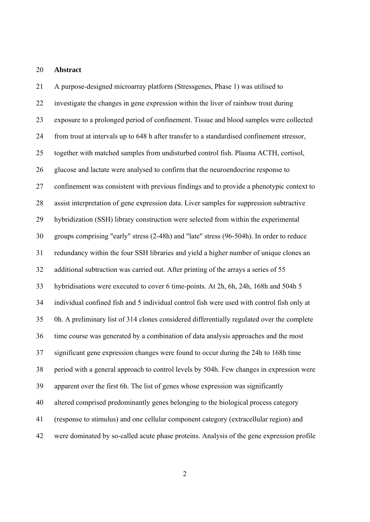#### 20 **Abstract**

21 A purpose-designed microarray platform (Stressgenes, Phase 1) was utilised to 22 investigate the changes in gene expression within the liver of rainbow trout during 23 exposure to a prolonged period of confinement. Tissue and blood samples were collected 24 from trout at intervals up to 648 h after transfer to a standardised confinement stressor, 25 together with matched samples from undisturbed control fish. Plasma ACTH, cortisol, 26 glucose and lactate were analysed to confirm that the neuroendocrine response to 27 confinement was consistent with previous findings and to provide a phenotypic context to 28 assist interpretation of gene expression data. Liver samples for suppression subtractive 29 hybridization (SSH) library construction were selected from within the experimental 30 groups comprising "early" stress (2-48h) and "late" stress (96-504h). In order to reduce 31 redundancy within the four SSH libraries and yield a higher number of unique clones an 32 additional subtraction was carried out. After printing of the arrays a series of 55 33 hybridisations were executed to cover 6 time-points. At 2h, 6h, 24h, 168h and 504h 5 34 individual confined fish and 5 individual control fish were used with control fish only at 35 0h. A preliminary list of 314 clones considered differentially regulated over the complete 36 time course was generated by a combination of data analysis approaches and the most 37 significant gene expression changes were found to occur during the 24h to 168h time 38 period with a general approach to control levels by 504h. Few changes in expression were 39 apparent over the first 6h. The list of genes whose expression was significantly 40 altered comprised predominantly genes belonging to the biological process category 41 (response to stimulus) and one cellular component category (extracellular region) and 42 were dominated by so-called acute phase proteins. Analysis of the gene expression profile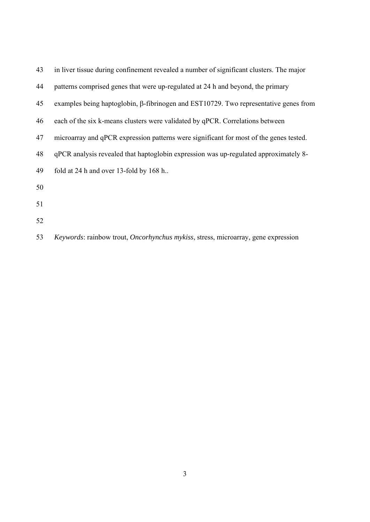| 43 | in liver tissue during confinement revealed a number of significant clusters. The major     |  |  |
|----|---------------------------------------------------------------------------------------------|--|--|
| 44 | patterns comprised genes that were up-regulated at 24 h and beyond, the primary             |  |  |
| 45 | examples being haptoglobin, $\beta$ -fibrinogen and EST10729. Two representative genes from |  |  |
| 46 | each of the six k-means clusters were validated by qPCR. Correlations between               |  |  |
| 47 | microarray and qPCR expression patterns were significant for most of the genes tested.      |  |  |
| 48 | qPCR analysis revealed that haptoglobin expression was up-regulated approximately 8-        |  |  |
| 49 | fold at 24 h and over 13-fold by 168 h                                                      |  |  |
| 50 |                                                                                             |  |  |
| 51 |                                                                                             |  |  |
| 52 |                                                                                             |  |  |

53 *Keywords*: rainbow trout, *Oncorhynchus mykiss*, stress, microarray, gene expression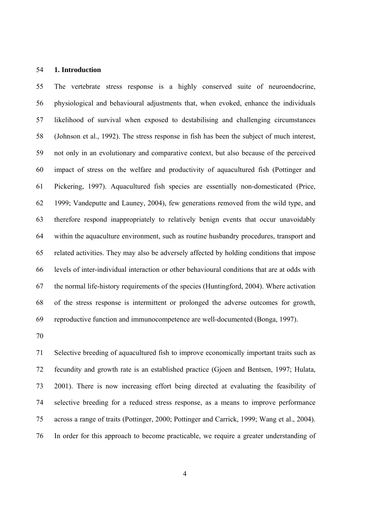#### 54 **1. Introduction**

55 The vertebrate stress response is a highly conserved suite of neuroendocrine, 56 physiological and behavioural adjustments that, when evoked, enhance the individuals 57 likelihood of survival when exposed to destabilising and challenging circumstances 58 (Johnson et al., 1992). The stress response in fish has been the subject of much interest, 59 not only in an evolutionary and comparative context, but also because of the perceived 60 impact of stress on the welfare and productivity of aquacultured fish (Pottinger and 61 Pickering, 1997). Aquacultured fish species are essentially non-domesticated (Price, 62 1999; Vandeputte and Launey, 2004), few generations removed from the wild type, and 63 therefore respond inappropriately to relatively benign events that occur unavoidably 64 within the aquaculture environment, such as routine husbandry procedures, transport and 65 related activities. They may also be adversely affected by holding conditions that impose 66 levels of inter-individual interaction or other behavioural conditions that are at odds with 67 the normal life-history requirements of the species (Huntingford, 2004). Where activation 68 of the stress response is intermittent or prolonged the adverse outcomes for growth, 69 reproductive function and immunocompetence are well-documented (Bonga, 1997).

70

71 Selective breeding of aquacultured fish to improve economically important traits such as 72 fecundity and growth rate is an established practice (Gjoen and Bentsen, 1997; Hulata, 73 2001). There is now increasing effort being directed at evaluating the feasibility of 74 selective breeding for a reduced stress response, as a means to improve performance 75 across a range of traits (Pottinger, 2000; Pottinger and Carrick, 1999; Wang et al., 2004). 76 In order for this approach to become practicable, we require a greater understanding of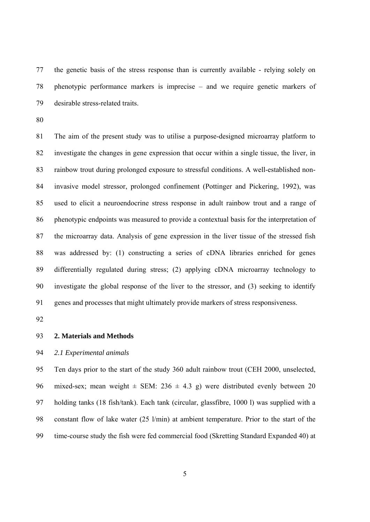77 the genetic basis of the stress response than is currently available - relying solely on 78 phenotypic performance markers is imprecise – and we require genetic markers of 79 desirable stress-related traits.

80

81 The aim of the present study was to utilise a purpose-designed microarray platform to 82 investigate the changes in gene expression that occur within a single tissue, the liver, in 83 rainbow trout during prolonged exposure to stressful conditions. A well-established non-84 invasive model stressor, prolonged confinement (Pottinger and Pickering, 1992), was 85 used to elicit a neuroendocrine stress response in adult rainbow trout and a range of 86 phenotypic endpoints was measured to provide a contextual basis for the interpretation of 87 the microarray data. Analysis of gene expression in the liver tissue of the stressed fish 88 was addressed by: (1) constructing a series of cDNA libraries enriched for genes 89 differentially regulated during stress; (2) applying cDNA microarray technology to 90 investigate the global response of the liver to the stressor, and (3) seeking to identify 91 genes and processes that might ultimately provide markers of stress responsiveness.

92

93 **2. Materials and Methods** 

## 94 *2.1 Experimental animals*

95 Ten days prior to the start of the study 360 adult rainbow trout (CEH 2000, unselected, 96 mixed-sex; mean weight  $\pm$  SEM: 236  $\pm$  4.3 g) were distributed evenly between 20 97 holding tanks (18 fish/tank). Each tank (circular, glassfibre, 1000 l) was supplied with a 98 constant flow of lake water (25 l/min) at ambient temperature. Prior to the start of the 99 time-course study the fish were fed commercial food (Skretting Standard Expanded 40) at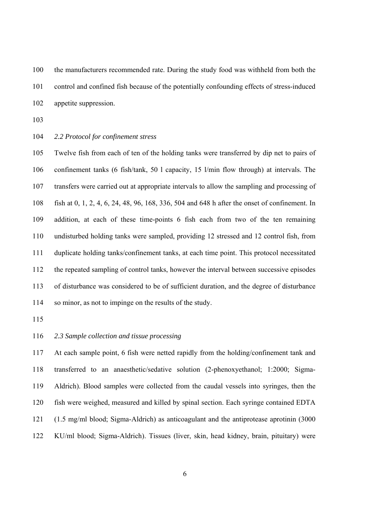100 the manufacturers recommended rate. During the study food was withheld from both the 101 control and confined fish because of the potentially confounding effects of stress-induced 102 appetite suppression.

- 103
- 104 *2.2 Protocol for confinement stress*

105 Twelve fish from each of ten of the holding tanks were transferred by dip net to pairs of 106 confinement tanks (6 fish/tank, 50 l capacity, 15 l/min flow through) at intervals. The 107 transfers were carried out at appropriate intervals to allow the sampling and processing of 108 fish at 0, 1, 2, 4, 6, 24, 48, 96, 168, 336, 504 and 648 h after the onset of confinement. In 109 addition, at each of these time-points 6 fish each from two of the ten remaining 110 undisturbed holding tanks were sampled, providing 12 stressed and 12 control fish, from 111 duplicate holding tanks/confinement tanks, at each time point. This protocol necessitated 112 the repeated sampling of control tanks, however the interval between successive episodes 113 of disturbance was considered to be of sufficient duration, and the degree of disturbance 114 so minor, as not to impinge on the results of the study.

115

## 116 *2.3 Sample collection and tissue processing*

117 At each sample point, 6 fish were netted rapidly from the holding/confinement tank and 118 transferred to an anaesthetic/sedative solution (2-phenoxyethanol; 1:2000; Sigma-119 Aldrich). Blood samples were collected from the caudal vessels into syringes, then the 120 fish were weighed, measured and killed by spinal section. Each syringe contained EDTA 121 (1.5 mg/ml blood; Sigma-Aldrich) as anticoagulant and the antiprotease aprotinin (3000 122 KU/ml blood; Sigma-Aldrich). Tissues (liver, skin, head kidney, brain, pituitary) were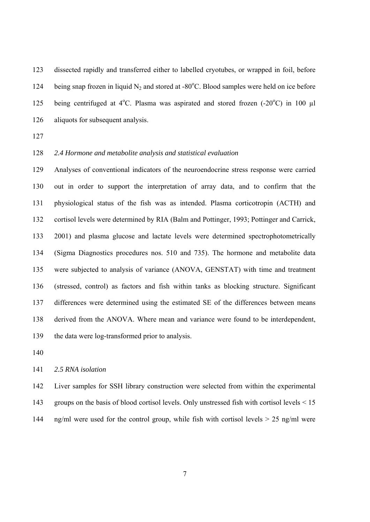123 dissected rapidly and transferred either to labelled cryotubes, or wrapped in foil, before 124 being snap frozen in liquid  $N_2$  and stored at -80°C. Blood samples were held on ice before 125 being centrifuged at  $4^{\circ}$ C. Plasma was aspirated and stored frozen  $(-20^{\circ}$ C) in 100 µl 126 aliquots for subsequent analysis.

127

#### 128 *2.4 Hormone and metabolite analysis and statistical evaluation*

129 Analyses of conventional indicators of the neuroendocrine stress response were carried 130 out in order to support the interpretation of array data, and to confirm that the 131 physiological status of the fish was as intended. Plasma corticotropin (ACTH) and 132 cortisol levels were determined by RIA (Balm and Pottinger, 1993; Pottinger and Carrick, 133 2001) and plasma glucose and lactate levels were determined spectrophotometrically 134 (Sigma Diagnostics procedures nos. 510 and 735). The hormone and metabolite data 135 were subjected to analysis of variance (ANOVA, GENSTAT) with time and treatment 136 (stressed, control) as factors and fish within tanks as blocking structure. Significant 137 differences were determined using the estimated SE of the differences between means 138 derived from the ANOVA. Where mean and variance were found to be interdependent, 139 the data were log-transformed prior to analysis.

140

## 141 *2.5 RNA isolation*

142 Liver samples for SSH library construction were selected from within the experimental 143 groups on the basis of blood cortisol levels. Only unstressed fish with cortisol levels < 15 144 ng/ml were used for the control group, while fish with cortisol levels > 25 ng/ml were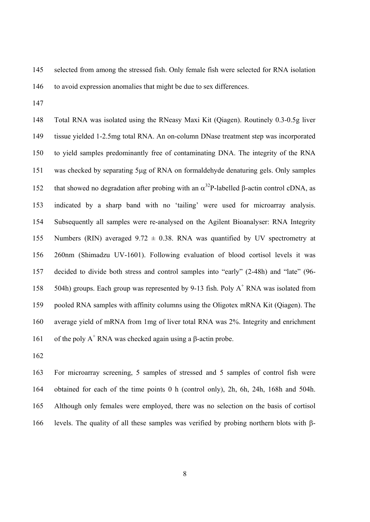- 145 selected from among the stressed fish. Only female fish were selected for RNA isolation 146 to avoid expression anomalies that might be due to sex differences.
- 147

148 Total RNA was isolated using the RNeasy Maxi Kit (Qiagen). Routinely 0.3-0.5g liver 149 tissue yielded 1-2.5mg total RNA. An on-column DNase treatment step was incorporated 150 to yield samples predominantly free of contaminating DNA. The integrity of the RNA 151 was checked by separating 5μg of RNA on formaldehyde denaturing gels. Only samples that showed no degradation after probing with an  $\alpha^{32}$ P-labelled β-actin control cDNA, as 153 indicated by a sharp band with no 'tailing' were used for microarray analysis. 154 Subsequently all samples were re-analysed on the Agilent Bioanalyser: RNA Integrity 155 Numbers (RIN) averaged  $9.72 \pm 0.38$ . RNA was quantified by UV spectrometry at 156 260nm (Shimadzu UV-1601). Following evaluation of blood cortisol levels it was 157 decided to divide both stress and control samples into "early" (2-48h) and "late" (96- 158 504h) groups. Each group was represented by 9-13 fish. Poly  $A^+$  RNA was isolated from 159 pooled RNA samples with affinity columns using the Oligotex mRNA Kit (Qiagen). The 160 average yield of mRNA from 1mg of liver total RNA was 2%. Integrity and enrichment 161 of the poly  $A^+$  RNA was checked again using a β-actin probe.

162

163 For microarray screening, 5 samples of stressed and 5 samples of control fish were 164 obtained for each of the time points 0 h (control only), 2h, 6h, 24h, 168h and 504h. 165 Although only females were employed, there was no selection on the basis of cortisol 166 levels. The quality of all these samples was verified by probing northern blots with β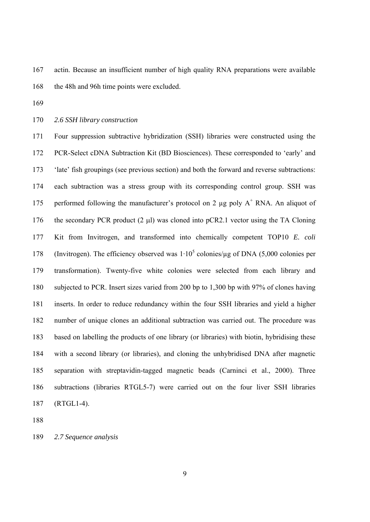167 actin. Because an insufficient number of high quality RNA preparations were available 168 the 48h and 96h time points were excluded.

169

170 *2.6 SSH library construction* 

171 Four suppression subtractive hybridization (SSH) libraries were constructed using the 172 PCR-Select cDNA Subtraction Kit (BD Biosciences). These corresponded to 'early' and 173 'late' fish groupings (see previous section) and both the forward and reverse subtractions: 174 each subtraction was a stress group with its corresponding control group. SSH was 175 performed following the manufacturer's protocol on 2  $\mu$ g poly A<sup>+</sup> RNA. An aliquot of 176 the secondary PCR product (2 μl) was cloned into pCR2.1 vector using the TA Cloning 177 Kit from Invitrogen, and transformed into chemically competent TOP10 *E. coli*  178 (Invitrogen). The efficiency observed was  $1 \cdot 10^5$  colonies/ $\mu$ g of DNA (5,000 colonies per 179 transformation). Twenty-five white colonies were selected from each library and 180 subjected to PCR. Insert sizes varied from 200 bp to 1,300 bp with 97% of clones having 181 inserts. In order to reduce redundancy within the four SSH libraries and yield a higher 182 number of unique clones an additional subtraction was carried out. The procedure was 183 based on labelling the products of one library (or libraries) with biotin, hybridising these 184 with a second library (or libraries), and cloning the unhybridised DNA after magnetic 185 separation with streptavidin-tagged magnetic beads (Carninci et al., 2000). Three 186 subtractions (libraries RTGL5-7) were carried out on the four liver SSH libraries 187 (RTGL1-4).

188

189 *2.7 Sequence analysis*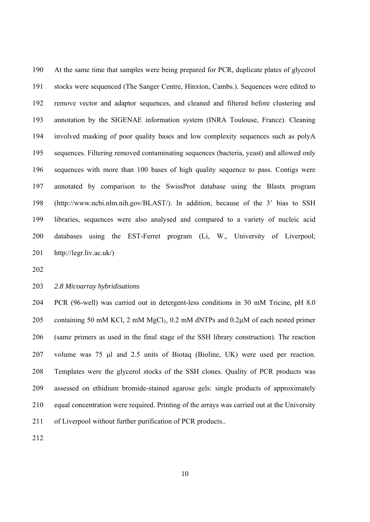190 At the same time that samples were being prepared for PCR, duplicate plates of glycerol 191 stocks were sequenced (The Sanger Centre, Hinxton, Cambs.). Sequences were edited to 192 remove vector and adaptor sequences, and cleaned and filtered before clustering and 193 annotation by the SIGENAE information system (INRA Toulouse, France). Cleaning 194 involved masking of poor quality bases and low complexity sequences such as polyA 195 sequences. Filtering removed contaminating sequences (bacteria, yeast) and allowed only 196 sequences with more than 100 bases of high quality sequence to pass. Contigs were 197 annotated by comparison to the SwissProt database using the Blastx program 198 (http://www.ncbi.nlm.nih.gov/BLAST/). In addition, because of the 3' bias to SSH 199 libraries, sequences were also analysed and compared to a variety of nucleic acid 200 databases using the EST-Ferret program (Li, W., University of Liverpool; 201 http://legr.liv.ac.uk/)

202

#### 203 *2.8 Micoarray hybridisations*

204 PCR (96-well) was carried out in detergent-less conditions in 30 mM Tricine, pH 8.0 205 containing 50 mM KCl, 2 mM  $MgCl_2$ , 0.2 mM dNTPs and 0.2 $\mu$ M of each nested primer 206 (same primers as used in the final stage of the SSH library construction). The reaction 207 volume was 75 μl and 2.5 units of Biotaq (Bioline, UK) were used per reaction. 208 Templates were the glycerol stocks of the SSH clones. Quality of PCR products was 209 assessed on ethidium bromide-stained agarose gels: single products of approximately 210 equal concentration were required. Printing of the arrays was carried out at the University 211 of Liverpool without further purification of PCR products..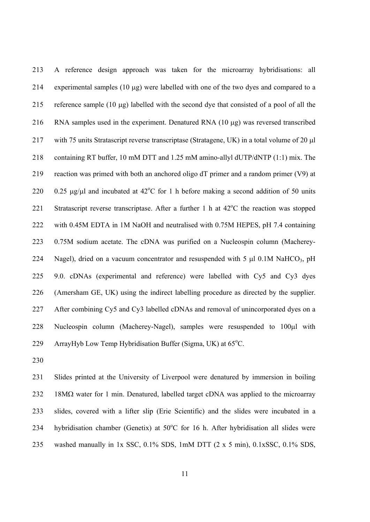213 A reference design approach was taken for the microarray hybridisations: all 214 experimental samples (10 μg) were labelled with one of the two dyes and compared to a 215 reference sample (10 μg) labelled with the second dye that consisted of a pool of all the 216 RNA samples used in the experiment. Denatured RNA (10 μg) was reversed transcribed 217 with 75 units Stratascript reverse transcriptase (Stratagene, UK) in a total volume of 20 μl 218 containing RT buffer, 10 mM DTT and 1.25 mM amino-allyl dUTP/dNTP (1:1) mix. The 219 reaction was primed with both an anchored oligo dT primer and a random primer (V9) at 220 0.25 μg/μl and incubated at  $42^{\circ}$ C for 1 h before making a second addition of 50 units 221 Stratascript reverse transcriptase. After a further 1 h at  $42^{\circ}$ C the reaction was stopped 222 with 0.45M EDTA in 1M NaOH and neutralised with 0.75M HEPES, pH 7.4 containing 223 0.75M sodium acetate. The cDNA was purified on a Nucleospin column (Macherey-224 Nagel), dried on a vacuum concentrator and resuspended with 5  $\mu$ l 0.1M NaHCO<sub>3</sub>, pH 225 9.0. cDNAs (experimental and reference) were labelled with Cy5 and Cy3 dyes 226 (Amersham GE, UK) using the indirect labelling procedure as directed by the supplier. 227 After combining Cy5 and Cy3 labelled cDNAs and removal of unincorporated dyes on a 228 Nucleospin column (Macherey-Nagel), samples were resuspended to 100μl with 229 ArrayHyb Low Temp Hybridisation Buffer (Sigma, UK) at  $65^{\circ}$ C.

230

231 Slides printed at the University of Liverpool were denatured by immersion in boiling 232 18MΩ water for 1 min. Denatured, labelled target cDNA was applied to the microarray 233 slides, covered with a lifter slip (Erie Scientific) and the slides were incubated in a 234 hybridisation chamber (Genetix) at  $50^{\circ}$ C for 16 h. After hybridisation all slides were 235 washed manually in 1x SSC, 0.1% SDS, 1mM DTT (2 x 5 min), 0.1xSSC, 0.1% SDS,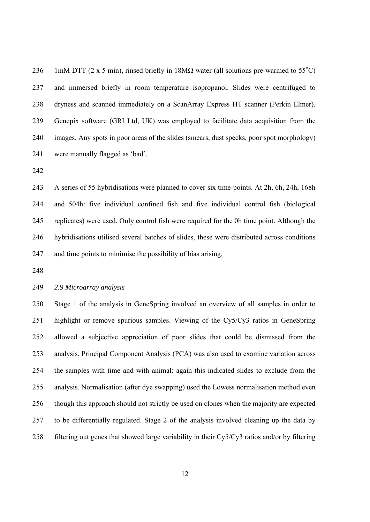236 1mM DTT (2 x 5 min), rinsed briefly in  $18M\Omega$  water (all solutions pre-warmed to 55<sup>o</sup>C) 237 and immersed briefly in room temperature isopropanol. Slides were centrifuged to 238 dryness and scanned immediately on a ScanArray Express HT scanner (Perkin Elmer). 239 Genepix software (GRI Ltd, UK) was employed to facilitate data acquisition from the 240 images. Any spots in poor areas of the slides (smears, dust specks, poor spot morphology) 241 were manually flagged as 'bad'.

242

243 A series of 55 hybridisations were planned to cover six time-points. At 2h, 6h, 24h, 168h 244 and 504h: five individual confined fish and five individual control fish (biological 245 replicates) were used. Only control fish were required for the 0h time point. Although the 246 hybridisations utilised several batches of slides, these were distributed across conditions 247 and time points to minimise the possibility of bias arising.

248

#### 249 *2.9 Microarray analysis*

250 Stage 1 of the analysis in GeneSpring involved an overview of all samples in order to 251 highlight or remove spurious samples. Viewing of the Cy5/Cy3 ratios in GeneSpring 252 allowed a subjective appreciation of poor slides that could be dismissed from the 253 analysis. Principal Component Analysis (PCA) was also used to examine variation across 254 the samples with time and with animal: again this indicated slides to exclude from the 255 analysis. Normalisation (after dye swapping) used the Lowess normalisation method even 256 though this approach should not strictly be used on clones when the majority are expected 257 to be differentially regulated. Stage 2 of the analysis involved cleaning up the data by 258 filtering out genes that showed large variability in their Cy5/Cy3 ratios and/or by filtering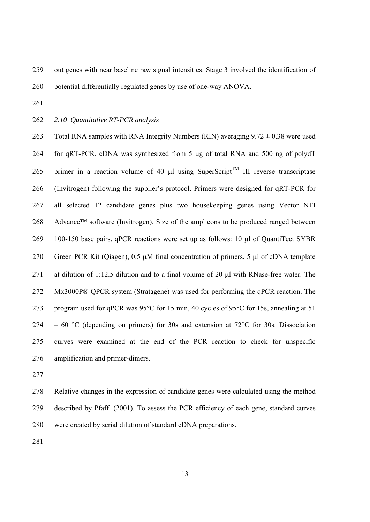259 out genes with near baseline raw signal intensities. Stage 3 involved the identification of

260 potential differentially regulated genes by use of one-way ANOVA.

261

262 *2.10 Quantitative RT-PCR analysis*

263 Total RNA samples with RNA Integrity Numbers (RIN) averaging  $9.72 \pm 0.38$  were used 264 for qRT-PCR. cDNA was synthesized from 5 μg of total RNA and 500 ng of polydT 265 primer in a reaction volume of 40  $\mu$ l using SuperScript<sup>TM</sup> III reverse transcriptase 266 (Invitrogen) following the supplier's protocol. Primers were designed for qRT-PCR for 267 all selected 12 candidate genes plus two housekeeping genes using Vector NTI 268 Advance™ software (Invitrogen). Size of the amplicons to be produced ranged between 269 100-150 base pairs. qPCR reactions were set up as follows: 10 μl of QuantiTect SYBR 270 Green PCR Kit (Qiagen), 0.5 μM final concentration of primers, 5 μl of cDNA template 271 at dilution of 1:12.5 dilution and to a final volume of 20 μl with RNase-free water. The 272 Mx3000P® QPCR system (Stratagene) was used for performing the qPCR reaction. The 273 program used for qPCR was 95°C for 15 min, 40 cycles of 95°C for 15s, annealing at 51 274 – 60 °C (depending on primers) for 30s and extension at 72°C for 30s. Dissociation 275 curves were examined at the end of the PCR reaction to check for unspecific 276 amplification and primer-dimers.

277

278 Relative changes in the expression of candidate genes were calculated using the method 279 described by Pfaffl (2001). To assess the PCR efficiency of each gene, standard curves 280 were created by serial dilution of standard cDNA preparations.

281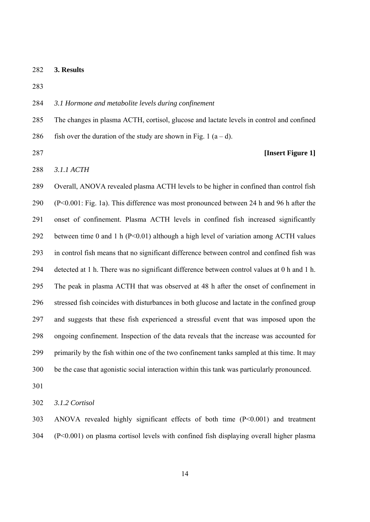282 **3. Results** 

283

#### 284 *3.1 Hormone and metabolite levels during confinement*

285 The changes in plasma ACTH, cortisol, glucose and lactate levels in control and confined 286 fish over the duration of the study are shown in Fig. 1  $(a-d)$ .

## 287 **[Insert Figure 1]**

288 *3.1.1 ACTH* 

289 Overall, ANOVA revealed plasma ACTH levels to be higher in confined than control fish 290 (P<0.001: Fig. 1a). This difference was most pronounced between 24 h and 96 h after the 291 onset of confinement. Plasma ACTH levels in confined fish increased significantly 292 between time 0 and 1 h (P<0.01) although a high level of variation among ACTH values 293 in control fish means that no significant difference between control and confined fish was 294 detected at 1 h. There was no significant difference between control values at 0 h and 1 h. 295 The peak in plasma ACTH that was observed at 48 h after the onset of confinement in 296 stressed fish coincides with disturbances in both glucose and lactate in the confined group 297 and suggests that these fish experienced a stressful event that was imposed upon the 298 ongoing confinement. Inspection of the data reveals that the increase was accounted for 299 primarily by the fish within one of the two confinement tanks sampled at this time. It may 300 be the case that agonistic social interaction within this tank was particularly pronounced.

301

302 *3.1.2 Cortisol* 

303 ANOVA revealed highly significant effects of both time (P<0.001) and treatment 304 (P<0.001) on plasma cortisol levels with confined fish displaying overall higher plasma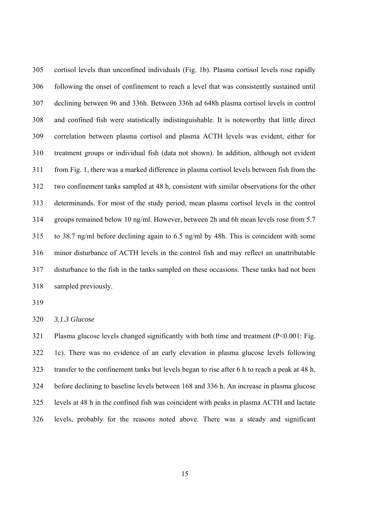305 cortisol levels than unconfined individuals (Fig. 1b). Plasma cortisol levels rose rapidly 306 following the onset of confinement to reach a level that was consistently sustained until 307 declining between 96 and 336h. Between 336h ad 648h plasma cortisol levels in control 308 and confined fish were statistically indistinguishable. It is noteworthy that little direct 309 correlation between plasma cortisol and plasma ACTH levels was evident, either for 310 treatment groups or individual fish (data not shown). In addition, although not evident 311 from Fig. 1, there was a marked difference in plasma cortisol levels between fish from the 312 two confinement tanks sampled at 48 h, consistent with similar observations for the other 313 determinands. For most of the study period, mean plasma cortisol levels in the control 314 groups remained below 10 ng/ml. However, between 2h and 6h mean levels rose from 5.7 315 to 38.7 ng/ml before declining again to 6.5 ng/ml by 48h. This is coincident with some 316 minor disturbance of ACTH levels in the control fish and may reflect an unattributable 317 disturbance to the fish in the tanks sampled on these occasions. These tanks had not been 318 sampled previously.

319

320 *3.1.3 Glucose* 

321 Plasma glucose levels changed significantly with both time and treatment  $(P<0.001$ : Fig. 322 1c). There was no evidence of an early elevation in plasma glucose levels following 323 transfer to the confinement tanks but levels began to rise after 6 h to reach a peak at 48 h, 324 before declining to baseline levels between 168 and 336 h. An increase in plasma glucose 325 levels at 48 h in the confined fish was coincident with peaks in plasma ACTH and lactate 326 levels, probably for the reasons noted above. There was a steady and significant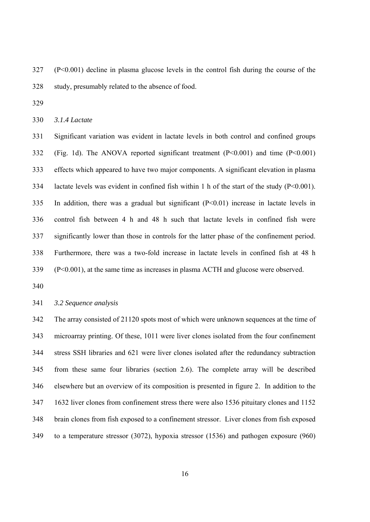327 (P<0.001) decline in plasma glucose levels in the control fish during the course of the 328 study, presumably related to the absence of food.

329

330 *3.1.4 Lactate* 

331 Significant variation was evident in lactate levels in both control and confined groups 332 (Fig. 1d). The ANOVA reported significant treatment (P<0.001) and time (P<0.001) 333 effects which appeared to have two major components. A significant elevation in plasma 334 lactate levels was evident in confined fish within 1 h of the start of the study (P<0.001). 335 In addition, there was a gradual but significant (P<0.01) increase in lactate levels in 336 control fish between 4 h and 48 h such that lactate levels in confined fish were 337 significantly lower than those in controls for the latter phase of the confinement period. 338 Furthermore, there was a two-fold increase in lactate levels in confined fish at 48 h 339 (P<0.001), at the same time as increases in plasma ACTH and glucose were observed.

340

341 *3.2 Sequence analysis* 

342 The array consisted of 21120 spots most of which were unknown sequences at the time of 343 microarray printing. Of these, 1011 were liver clones isolated from the four confinement 344 stress SSH libraries and 621 were liver clones isolated after the redundancy subtraction 345 from these same four libraries (section 2.6). The complete array will be described 346 elsewhere but an overview of its composition is presented in figure 2. In addition to the 347 1632 liver clones from confinement stress there were also 1536 pituitary clones and 1152 348 brain clones from fish exposed to a confinement stressor. Liver clones from fish exposed 349 to a temperature stressor (3072), hypoxia stressor (1536) and pathogen exposure (960)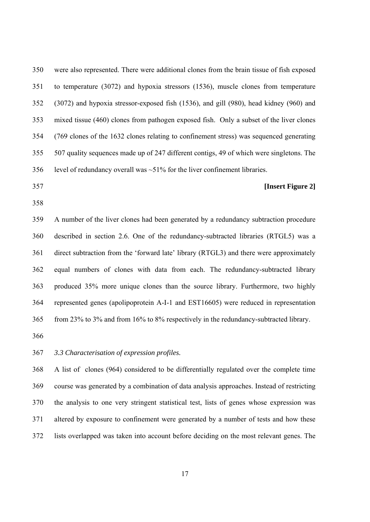350 were also represented. There were additional clones from the brain tissue of fish exposed 351 to temperature (3072) and hypoxia stressors (1536), muscle clones from temperature 352 (3072) and hypoxia stressor-exposed fish (1536), and gill (980), head kidney (960) and 353 mixed tissue (460) clones from pathogen exposed fish. Only a subset of the liver clones 354 (769 clones of the 1632 clones relating to confinement stress) was sequenced generating 355 507 quality sequences made up of 247 different contigs, 49 of which were singletons. The 356 level of redundancy overall was  $\sim$  51% for the liver confinement libraries.

- 357 **[Insert Figure 2]**
- 358

359 A number of the liver clones had been generated by a redundancy subtraction procedure 360 described in section 2.6. One of the redundancy-subtracted libraries (RTGL5) was a 361 direct subtraction from the 'forward late' library (RTGL3) and there were approximately 362 equal numbers of clones with data from each. The redundancy-subtracted library 363 produced 35% more unique clones than the source library. Furthermore, two highly 364 represented genes (apolipoprotein A-I-1 and EST16605) were reduced in representation 365 from 23% to 3% and from 16% to 8% respectively in the redundancy-subtracted library.

366

#### 367 *3.3 Characterisation of expression profiles.*

368 A list of clones (964) considered to be differentially regulated over the complete time 369 course was generated by a combination of data analysis approaches. Instead of restricting 370 the analysis to one very stringent statistical test, lists of genes whose expression was 371 altered by exposure to confinement were generated by a number of tests and how these 372 lists overlapped was taken into account before deciding on the most relevant genes. The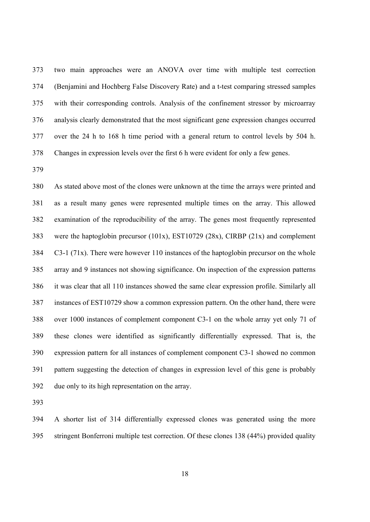373 two main approaches were an ANOVA over time with multiple test correction 374 (Benjamini and Hochberg False Discovery Rate) and a t-test comparing stressed samples 375 with their corresponding controls. Analysis of the confinement stressor by microarray 376 analysis clearly demonstrated that the most significant gene expression changes occurred 377 over the 24 h to 168 h time period with a general return to control levels by 504 h. 378 Changes in expression levels over the first 6 h were evident for only a few genes.

379

380 As stated above most of the clones were unknown at the time the arrays were printed and 381 as a result many genes were represented multiple times on the array. This allowed 382 examination of the reproducibility of the array. The genes most frequently represented 383 were the haptoglobin precursor (101x), EST10729 (28x), CIRBP (21x) and complement 384 C3-1 (71x). There were however 110 instances of the haptoglobin precursor on the whole 385 array and 9 instances not showing significance. On inspection of the expression patterns 386 it was clear that all 110 instances showed the same clear expression profile. Similarly all 387 instances of EST10729 show a common expression pattern. On the other hand, there were 388 over 1000 instances of complement component C3-1 on the whole array yet only 71 of 389 these clones were identified as significantly differentially expressed. That is, the 390 expression pattern for all instances of complement component C3-1 showed no common 391 pattern suggesting the detection of changes in expression level of this gene is probably 392 due only to its high representation on the array.

393

394 A shorter list of 314 differentially expressed clones was generated using the more 395 stringent Bonferroni multiple test correction. Of these clones 138 (44%) provided quality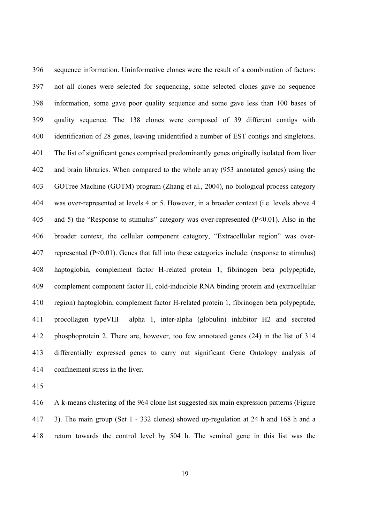396 sequence information. Uninformative clones were the result of a combination of factors: 397 not all clones were selected for sequencing, some selected clones gave no sequence 398 information, some gave poor quality sequence and some gave less than 100 bases of 399 quality sequence. The 138 clones were composed of 39 different contigs with 400 identification of 28 genes, leaving unidentified a number of EST contigs and singletons. 401 The list of significant genes comprised predominantly genes originally isolated from liver 402 and brain libraries. When compared to the whole array (953 annotated genes) using the 403 GOTree Machine (GOTM) program (Zhang et al., 2004), no biological process category 404 was over-represented at levels 4 or 5. However, in a broader context (i.e. levels above 4 405 and 5) the "Response to stimulus" category was over-represented (P<0.01). Also in the 406 broader context, the cellular component category, "Extracellular region" was over-407 represented (P<0.01). Genes that fall into these categories include: (response to stimulus) 408 haptoglobin, complement factor H-related protein 1, fibrinogen beta polypeptide, 409 complement component factor H, cold-inducible RNA binding protein and (extracellular 410 region) haptoglobin, complement factor H-related protein 1, fibrinogen beta polypeptide, 411 procollagen typeVIII alpha 1, inter-alpha (globulin) inhibitor H2 and secreted 412 phosphoprotein 2. There are, however, too few annotated genes (24) in the list of 314 413 differentially expressed genes to carry out significant Gene Ontology analysis of 414 confinement stress in the liver.

415

416 A k-means clustering of the 964 clone list suggested six main expression patterns (Figure 417 3). The main group (Set 1 - 332 clones) showed up-regulation at 24 h and 168 h and a 418 return towards the control level by 504 h. The seminal gene in this list was the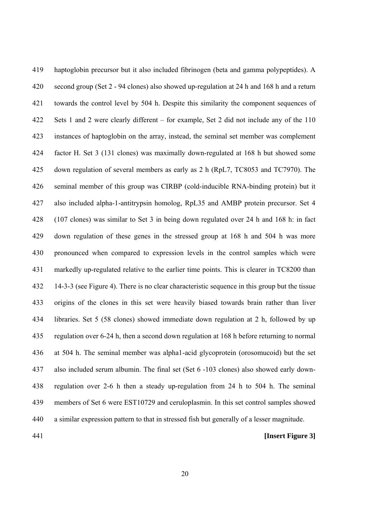419 haptoglobin precursor but it also included fibrinogen (beta and gamma polypeptides). A 420 second group (Set 2 - 94 clones) also showed up-regulation at 24 h and 168 h and a return 421 towards the control level by 504 h. Despite this similarity the component sequences of 422 Sets 1 and 2 were clearly different – for example, Set 2 did not include any of the 110 423 instances of haptoglobin on the array, instead, the seminal set member was complement 424 factor H. Set 3 (131 clones) was maximally down-regulated at 168 h but showed some 425 down regulation of several members as early as 2 h (RpL7, TC8053 and TC7970). The 426 seminal member of this group was CIRBP (cold-inducible RNA-binding protein) but it 427 also included alpha-1-antitrypsin homolog, RpL35 and AMBP protein precursor. Set 4 428 (107 clones) was similar to Set 3 in being down regulated over 24 h and 168 h: in fact 429 down regulation of these genes in the stressed group at 168 h and 504 h was more 430 pronounced when compared to expression levels in the control samples which were 431 markedly up-regulated relative to the earlier time points. This is clearer in TC8200 than 432 14-3-3 (see Figure 4). There is no clear characteristic sequence in this group but the tissue 433 origins of the clones in this set were heavily biased towards brain rather than liver 434 libraries. Set 5 (58 clones) showed immediate down regulation at 2 h, followed by up 435 regulation over 6-24 h, then a second down regulation at 168 h before returning to normal 436 at 504 h. The seminal member was alpha1-acid glycoprotein (orosomucoid) but the set 437 also included serum albumin. The final set (Set 6 -103 clones) also showed early down-438 regulation over 2-6 h then a steady up-regulation from 24 h to 504 h. The seminal 439 members of Set 6 were EST10729 and ceruloplasmin. In this set control samples showed 440 a similar expression pattern to that in stressed fish but generally of a lesser magnitude.

#### 441 **[Insert Figure 3]**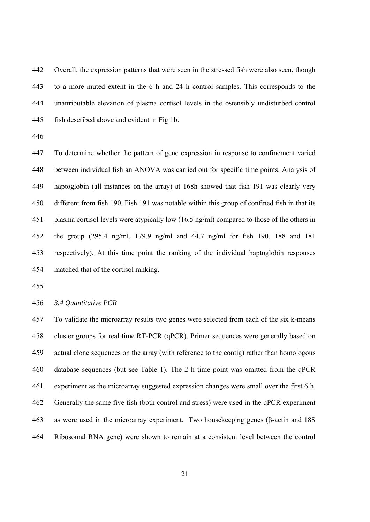442 Overall, the expression patterns that were seen in the stressed fish were also seen, though 443 to a more muted extent in the 6 h and 24 h control samples. This corresponds to the 444 unattributable elevation of plasma cortisol levels in the ostensibly undisturbed control 445 fish described above and evident in Fig 1b.

446

447 To determine whether the pattern of gene expression in response to confinement varied 448 between individual fish an ANOVA was carried out for specific time points. Analysis of 449 haptoglobin (all instances on the array) at 168h showed that fish 191 was clearly very 450 different from fish 190. Fish 191 was notable within this group of confined fish in that its 451 plasma cortisol levels were atypically low (16.5 ng/ml) compared to those of the others in 452 the group (295.4 ng/ml, 179.9 ng/ml and 44.7 ng/ml for fish 190, 188 and 181 453 respectively). At this time point the ranking of the individual haptoglobin responses 454 matched that of the cortisol ranking.

455

456 *3.4 Quantitative PCR* 

457 To validate the microarray results two genes were selected from each of the six k-means 458 cluster groups for real time RT-PCR (qPCR). Primer sequences were generally based on 459 actual clone sequences on the array (with reference to the contig) rather than homologous 460 database sequences (but see Table 1). The 2 h time point was omitted from the qPCR 461 experiment as the microarray suggested expression changes were small over the first 6 h. 462 Generally the same five fish (both control and stress) were used in the qPCR experiment 463 as were used in the microarray experiment. Two housekeeping genes (β-actin and 18S 464 Ribosomal RNA gene) were shown to remain at a consistent level between the control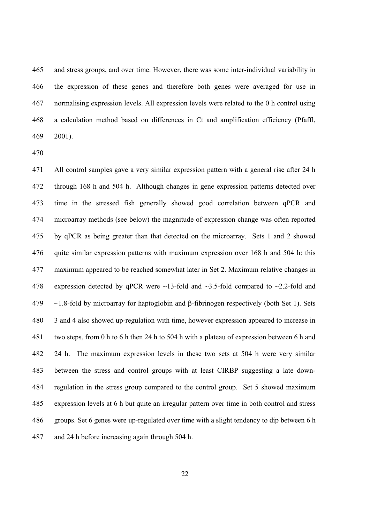465 and stress groups, and over time. However, there was some inter-individual variability in 466 the expression of these genes and therefore both genes were averaged for use in 467 normalising expression levels. All expression levels were related to the 0 h control using 468 a calculation method based on differences in Ct and amplification efficiency (Pfaffl, 469 2001).

471 All control samples gave a very similar expression pattern with a general rise after 24 h 472 through 168 h and 504 h. Although changes in gene expression patterns detected over 473 time in the stressed fish generally showed good correlation between qPCR and 474 microarray methods (see below) the magnitude of expression change was often reported 475 by qPCR as being greater than that detected on the microarray. Sets 1 and 2 showed 476 quite similar expression patterns with maximum expression over 168 h and 504 h: this 477 maximum appeared to be reached somewhat later in Set 2. Maximum relative changes in 478 expression detected by qPCR were  $\sim$ 13-fold and  $\sim$ 3.5-fold compared to  $\sim$ 2.2-fold and 479 ~1.8-fold by microarray for haptoglobin and β-fibrinogen respectively (both Set 1). Sets 480 3 and 4 also showed up-regulation with time, however expression appeared to increase in 481 two steps, from 0 h to 6 h then 24 h to 504 h with a plateau of expression between 6 h and 482 24 h. The maximum expression levels in these two sets at 504 h were very similar 483 between the stress and control groups with at least CIRBP suggesting a late down-484 regulation in the stress group compared to the control group. Set 5 showed maximum 485 expression levels at 6 h but quite an irregular pattern over time in both control and stress 486 groups. Set 6 genes were up-regulated over time with a slight tendency to dip between 6 h 487 and 24 h before increasing again through 504 h.

<sup>470</sup>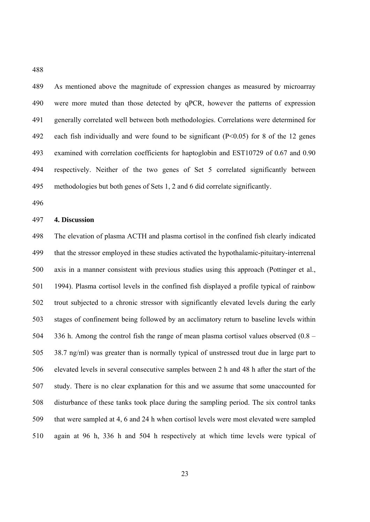489 As mentioned above the magnitude of expression changes as measured by microarray 490 were more muted than those detected by qPCR, however the patterns of expression 491 generally correlated well between both methodologies. Correlations were determined for 492 each fish individually and were found to be significant (P<0.05) for 8 of the 12 genes 493 examined with correlation coefficients for haptoglobin and EST10729 of 0.67 and 0.90 494 respectively. Neither of the two genes of Set 5 correlated significantly between 495 methodologies but both genes of Sets 1, 2 and 6 did correlate significantly.

496

488

#### 497 **4. Discussion**

498 The elevation of plasma ACTH and plasma cortisol in the confined fish clearly indicated 499 that the stressor employed in these studies activated the hypothalamic-pituitary-interrenal 500 axis in a manner consistent with previous studies using this approach (Pottinger et al., 501 1994). Plasma cortisol levels in the confined fish displayed a profile typical of rainbow 502 trout subjected to a chronic stressor with significantly elevated levels during the early 503 stages of confinement being followed by an acclimatory return to baseline levels within 504 336 h. Among the control fish the range of mean plasma cortisol values observed (0.8 – 505 38.7 ng/ml) was greater than is normally typical of unstressed trout due in large part to 506 elevated levels in several consecutive samples between 2 h and 48 h after the start of the 507 study. There is no clear explanation for this and we assume that some unaccounted for 508 disturbance of these tanks took place during the sampling period. The six control tanks 509 that were sampled at 4, 6 and 24 h when cortisol levels were most elevated were sampled 510 again at 96 h, 336 h and 504 h respectively at which time levels were typical of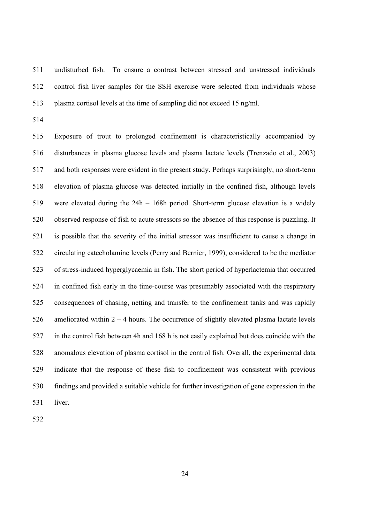511 undisturbed fish. To ensure a contrast between stressed and unstressed individuals 512 control fish liver samples for the SSH exercise were selected from individuals whose 513 plasma cortisol levels at the time of sampling did not exceed 15 ng/ml.

514

515 Exposure of trout to prolonged confinement is characteristically accompanied by 516 disturbances in plasma glucose levels and plasma lactate levels (Trenzado et al., 2003) 517 and both responses were evident in the present study. Perhaps surprisingly, no short-term 518 elevation of plasma glucose was detected initially in the confined fish, although levels 519 were elevated during the 24h – 168h period. Short-term glucose elevation is a widely 520 observed response of fish to acute stressors so the absence of this response is puzzling. It 521 is possible that the severity of the initial stressor was insufficient to cause a change in 522 circulating catecholamine levels (Perry and Bernier, 1999), considered to be the mediator 523 of stress-induced hyperglycaemia in fish. The short period of hyperlactemia that occurred 524 in confined fish early in the time-course was presumably associated with the respiratory 525 consequences of chasing, netting and transfer to the confinement tanks and was rapidly 526 ameliorated within  $2 - 4$  hours. The occurrence of slightly elevated plasma lactate levels 527 in the control fish between 4h and 168 h is not easily explained but does coincide with the 528 anomalous elevation of plasma cortisol in the control fish. Overall, the experimental data 529 indicate that the response of these fish to confinement was consistent with previous 530 findings and provided a suitable vehicle for further investigation of gene expression in the 531 liver.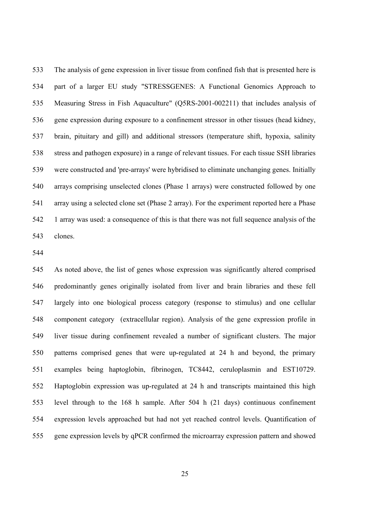533 The analysis of gene expression in liver tissue from confined fish that is presented here is 534 part of a larger EU study "STRESSGENES: A Functional Genomics Approach to 535 Measuring Stress in Fish Aquaculture" (Q5RS-2001-002211) that includes analysis of 536 gene expression during exposure to a confinement stressor in other tissues (head kidney, 537 brain, pituitary and gill) and additional stressors (temperature shift, hypoxia, salinity 538 stress and pathogen exposure) in a range of relevant tissues. For each tissue SSH libraries 539 were constructed and 'pre-arrays' were hybridised to eliminate unchanging genes. Initially 540 arrays comprising unselected clones (Phase 1 arrays) were constructed followed by one 541 array using a selected clone set (Phase 2 array). For the experiment reported here a Phase 542 1 array was used: a consequence of this is that there was not full sequence analysis of the 543 clones.

544

545 As noted above, the list of genes whose expression was significantly altered comprised 546 predominantly genes originally isolated from liver and brain libraries and these fell 547 largely into one biological process category (response to stimulus) and one cellular 548 component category (extracellular region). Analysis of the gene expression profile in 549 liver tissue during confinement revealed a number of significant clusters. The major 550 patterns comprised genes that were up-regulated at 24 h and beyond, the primary 551 examples being haptoglobin, fibrinogen, TC8442, ceruloplasmin and EST10729. 552 Haptoglobin expression was up-regulated at 24 h and transcripts maintained this high 553 level through to the 168 h sample. After 504 h (21 days) continuous confinement 554 expression levels approached but had not yet reached control levels. Quantification of 555 gene expression levels by qPCR confirmed the microarray expression pattern and showed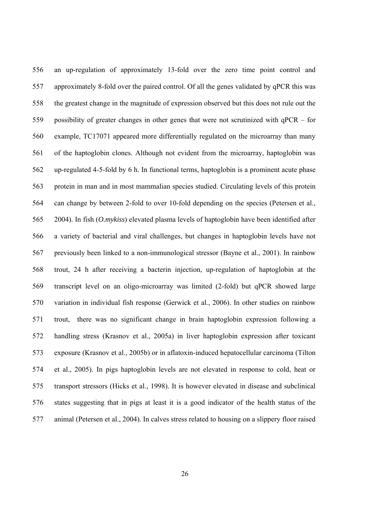556 an up-regulation of approximately 13-fold over the zero time point control and 557 approximately 8-fold over the paired control. Of all the genes validated by qPCR this was 558 the greatest change in the magnitude of expression observed but this does not rule out the 559 possibility of greater changes in other genes that were not scrutinized with qPCR – for 560 example, TC17071 appeared more differentially regulated on the microarray than many 561 of the haptoglobin clones. Although not evident from the microarray, haptoglobin was 562 up-regulated 4-5-fold by 6 h. In functional terms, haptoglobin is a prominent acute phase 563 protein in man and in most mammalian species studied. Circulating levels of this protein 564 can change by between 2-fold to over 10-fold depending on the species (Petersen et al., 565 2004). In fish (*O.mykiss*) elevated plasma levels of haptoglobin have been identified after 566 a variety of bacterial and viral challenges, but changes in haptoglobin levels have not 567 previously been linked to a non-immunological stressor (Bayne et al., 2001). In rainbow 568 trout, 24 h after receiving a bacterin injection, up-regulation of haptoglobin at the 569 transcript level on an oligo-microarray was limited (2-fold) but qPCR showed large 570 variation in individual fish response (Gerwick et al., 2006). In other studies on rainbow 571 trout, there was no significant change in brain haptoglobin expression following a 572 handling stress (Krasnov et al., 2005a) in liver haptoglobin expression after toxicant 573 exposure (Krasnov et al., 2005b) or in aflatoxin-induced hepatocellular carcinoma (Tilton 574 et al., 2005). In pigs haptoglobin levels are not elevated in response to cold, heat or 575 transport stressors (Hicks et al., 1998). It is however elevated in disease and subclinical 576 states suggesting that in pigs at least it is a good indicator of the health status of the 577 animal (Petersen et al., 2004). In calves stress related to housing on a slippery floor raised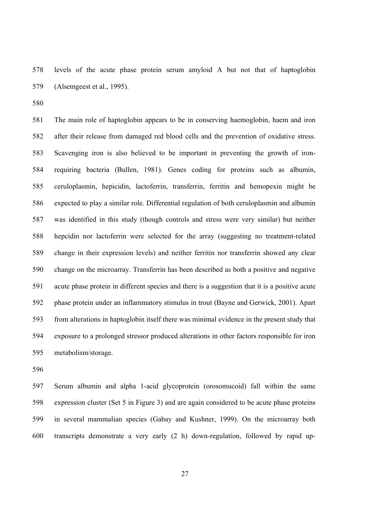578 levels of the acute phase protein serum amyloid A but not that of haptoglobin 579 (Alsemgeest et al., 1995).

580

581 The main role of haptoglobin appears to be in conserving haemoglobin, haem and iron 582 after their release from damaged red blood cells and the prevention of oxidative stress. 583 Scavenging iron is also believed to be important in preventing the growth of iron-584 requiring bacteria (Bullen, 1981). Genes coding for proteins such as albumin, 585 ceruloplasmin, hepicidin, lactoferrin, transferrin, ferritin and hemopexin might be 586 expected to play a similar role. Differential regulation of both ceruloplasmin and albumin 587 was identified in this study (though controls and stress were very similar) but neither 588 hepcidin nor lactoferrin were selected for the array (suggesting no treatment-related 589 change in their expression levels) and neither ferritin nor transferrin showed any clear 590 change on the microarray. Transferrin has been described as both a positive and negative 591 acute phase protein in different species and there is a suggestion that it is a positive acute 592 phase protein under an inflammatory stimulus in trout (Bayne and Gerwick, 2001). Apart 593 from alterations in haptoglobin itself there was minimal evidence in the present study that 594 exposure to a prolonged stressor produced alterations in other factors responsible for iron 595 metabolism/storage.

596

597 Serum albumin and alpha 1-acid glycoprotein (orosomucoid) fall within the same 598 expression cluster (Set 5 in Figure 3) and are again considered to be acute phase proteins 599 in several mammalian species (Gabay and Kushner, 1999). On the microarray both 600 transcripts demonstrate a very early (2 h) down-regulation, followed by rapid up-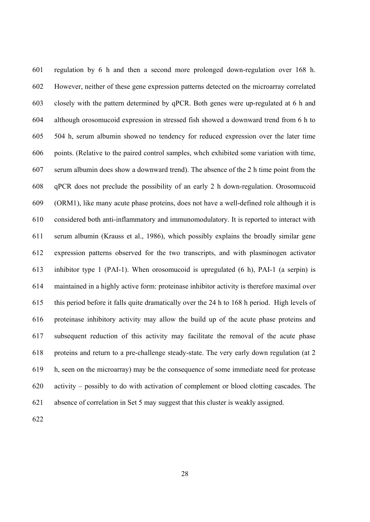601 regulation by 6 h and then a second more prolonged down-regulation over 168 h. 602 However, neither of these gene expression patterns detected on the microarray correlated 603 closely with the pattern determined by qPCR. Both genes were up-regulated at 6 h and 604 although orosomucoid expression in stressed fish showed a downward trend from 6 h to 605 504 h, serum albumin showed no tendency for reduced expression over the later time 606 points. (Relative to the paired control samples, whch exhibited some variation with time, 607 serum albumin does show a downward trend). The absence of the 2 h time point from the 608 qPCR does not preclude the possibility of an early 2 h down-regulation. Orosomucoid 609 (ORM1), like many acute phase proteins, does not have a well-defined role although it is 610 considered both anti-inflammatory and immunomodulatory. It is reported to interact with 611 serum albumin (Krauss et al., 1986), which possibly explains the broadly similar gene 612 expression patterns observed for the two transcripts, and with plasminogen activator 613 inhibitor type 1 (PAI-1). When orosomucoid is upregulated (6 h), PAI-1 (a serpin) is 614 maintained in a highly active form: proteinase inhibitor activity is therefore maximal over 615 this period before it falls quite dramatically over the 24 h to 168 h period. High levels of 616 proteinase inhibitory activity may allow the build up of the acute phase proteins and 617 subsequent reduction of this activity may facilitate the removal of the acute phase 618 proteins and return to a pre-challenge steady-state. The very early down regulation (at 2 619 h, seen on the microarray) may be the consequence of some immediate need for protease 620 activity – possibly to do with activation of complement or blood clotting cascades. The 621 absence of correlation in Set 5 may suggest that this cluster is weakly assigned.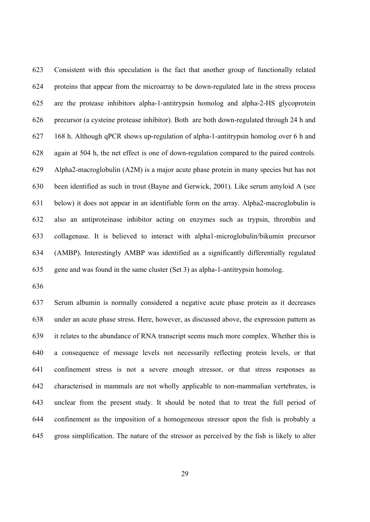623 Consistent with this speculation is the fact that another group of functionally related 624 proteins that appear from the microarray to be down-regulated late in the stress process 625 are the protease inhibitors alpha-1-antitrypsin homolog and alpha-2-HS glycoprotein 626 precursor (a cysteine protease inhibitor). Both are both down-regulated through 24 h and 627 168 h. Although qPCR shows up-regulation of alpha-1-antitrypsin homolog over 6 h and 628 again at 504 h, the net effect is one of down-regulation compared to the paired controls. 629 Alpha2-macroglobulin (A2M) is a major acute phase protein in many species but has not 630 been identified as such in trout (Bayne and Gerwick, 2001). Like serum amyloid A (see 631 below) it does not appear in an identifiable form on the array. Alpha2-macroglobulin is 632 also an antiproteinase inhibitor acting on enzymes such as trypsin, thrombin and 633 collagenase. It is believed to interact with alpha1-microglobulin/bikumin precursor 634 (AMBP). Interestingly AMBP was identified as a significantly differentially regulated 635 gene and was found in the same cluster (Set 3) as alpha-1-antitrypsin homolog.

636

637 Serum albumin is normally considered a negative acute phase protein as it decreases 638 under an acute phase stress. Here, however, as discussed above, the expression pattern as 639 it relates to the abundance of RNA transcript seems much more complex. Whether this is 640 a consequence of message levels not necessarily reflecting protein levels, or that 641 confinement stress is not a severe enough stressor, or that stress responses as 642 characterised in mammals are not wholly applicable to non-mammalian vertebrates, is 643 unclear from the present study. It should be noted that to treat the full period of 644 confinement as the imposition of a homogeneous stressor upon the fish is probably a 645 gross simplification. The nature of the stressor as perceived by the fish is likely to alter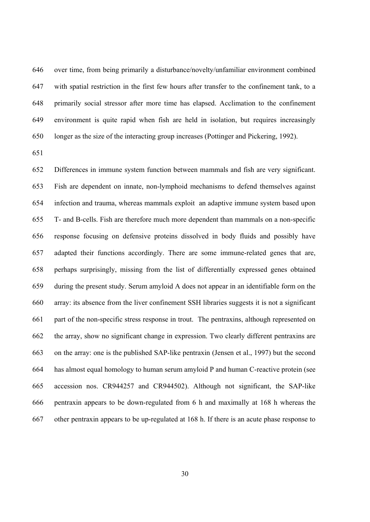646 over time, from being primarily a disturbance/novelty/unfamiliar environment combined 647 with spatial restriction in the first few hours after transfer to the confinement tank, to a 648 primarily social stressor after more time has elapsed. Acclimation to the confinement 649 environment is quite rapid when fish are held in isolation, but requires increasingly 650 longer as the size of the interacting group increases (Pottinger and Pickering, 1992).

651

652 Differences in immune system function between mammals and fish are very significant. 653 Fish are dependent on innate, non-lymphoid mechanisms to defend themselves against 654 infection and trauma, whereas mammals exploit an adaptive immune system based upon 655 T- and B-cells. Fish are therefore much more dependent than mammals on a non-specific 656 response focusing on defensive proteins dissolved in body fluids and possibly have 657 adapted their functions accordingly. There are some immune-related genes that are, 658 perhaps surprisingly, missing from the list of differentially expressed genes obtained 659 during the present study. Serum amyloid A does not appear in an identifiable form on the 660 array: its absence from the liver confinement SSH libraries suggests it is not a significant 661 part of the non-specific stress response in trout. The pentraxins, although represented on 662 the array, show no significant change in expression. Two clearly different pentraxins are 663 on the array: one is the published SAP-like pentraxin (Jensen et al., 1997) but the second 664 has almost equal homology to human serum amyloid P and human C-reactive protein (see 665 accession nos. CR944257 and CR944502). Although not significant, the SAP-like 666 pentraxin appears to be down-regulated from 6 h and maximally at 168 h whereas the 667 other pentraxin appears to be up-regulated at 168 h. If there is an acute phase response to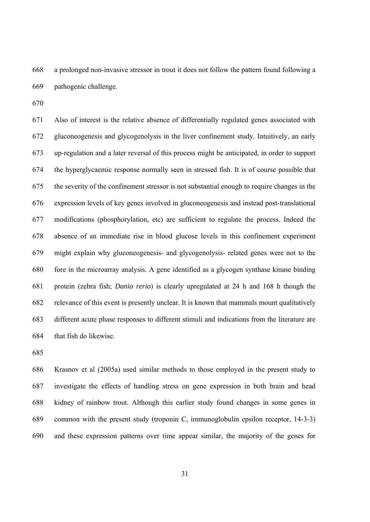668 a prolonged non-invasive stressor in trout it does not follow the pattern found following a 669 pathogenic challenge.

670

671 Also of interest is the relative absence of differentially regulated genes associated with 672 gluconeogenesis and glycogenolysis in the liver confinement study. Intuitively, an early 673 up-regulation and a later reversal of this process might be anticipated, in order to support 674 the hyperglycaemic response normally seen in stressed fish. It is of course possible that 675 the severity of the confinement stressor is not substantial enough to require changes in the 676 expression levels of key genes involved in gluconeogenesis and instead post-translational 677 modifications (phosphorylation, etc) are sufficient to regulate the process. Indeed the 678 absence of an immediate rise in blood glucose levels in this confinement experiment 679 might explain why gluconeogenesis- and glycogenolysis- related genes were not to the 680 fore in the microarray analysis. A gene identified as a glycogen synthase kinase binding 681 protein (zebra fish; *Danio rerio*) is clearly upregulated at 24 h and 168 h though the 682 relevance of this event is presently unclear. It is known that mammals mount qualitatively 683 different acute phase responses to different stimuli and indications from the literature are 684 that fish do likewise.

685

686 Krasnov et al (2005a) used similar methods to those employed in the present study to 687 investigate the effects of handling stress on gene expression in both brain and head 688 kidney of rainbow trout. Although this earlier study found changes in some genes in 689 common with the present study (troponin C, immunoglobulin epsilon receptor, 14-3-3) 690 and these expression patterns over time appear similar, the majority of the genes for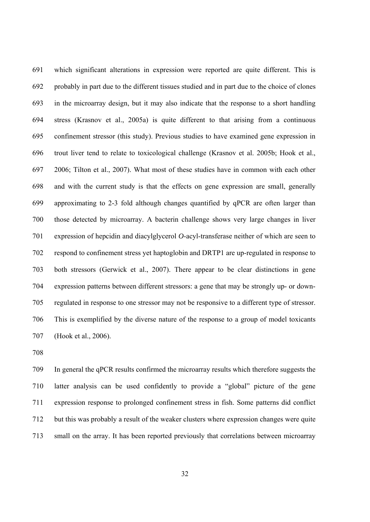691 which significant alterations in expression were reported are quite different. This is 692 probably in part due to the different tissues studied and in part due to the choice of clones 693 in the microarray design, but it may also indicate that the response to a short handling 694 stress (Krasnov et al., 2005a) is quite different to that arising from a continuous 695 confinement stressor (this study). Previous studies to have examined gene expression in 696 trout liver tend to relate to toxicological challenge (Krasnov et al. 2005b; Hook et al., 697 2006; Tilton et al., 2007). What most of these studies have in common with each other 698 and with the current study is that the effects on gene expression are small, generally 699 approximating to 2-3 fold although changes quantified by qPCR are often larger than 700 those detected by microarray. A bacterin challenge shows very large changes in liver 701 expression of hepcidin and diacylglycerol *O*-acyl-transferase neither of which are seen to 702 respond to confinement stress yet haptoglobin and DRTP1 are up-regulated in response to 703 both stressors (Gerwick et al., 2007). There appear to be clear distinctions in gene 704 expression patterns between different stressors: a gene that may be strongly up- or down-705 regulated in response to one stressor may not be responsive to a different type of stressor. 706 This is exemplified by the diverse nature of the response to a group of model toxicants 707 (Hook et al., 2006).

708

709 In general the qPCR results confirmed the microarray results which therefore suggests the 710 latter analysis can be used confidently to provide a "global" picture of the gene 711 expression response to prolonged confinement stress in fish. Some patterns did conflict 712 but this was probably a result of the weaker clusters where expression changes were quite 713 small on the array. It has been reported previously that correlations between microarray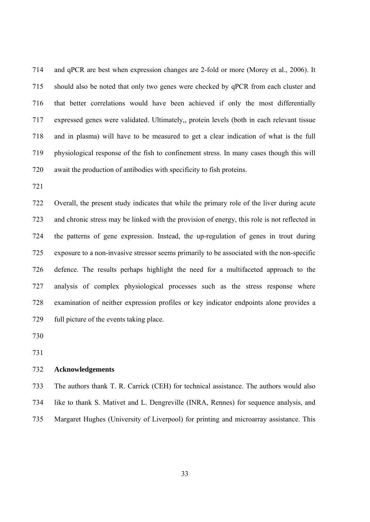714 and qPCR are best when expression changes are 2-fold or more (Morey et al., 2006). It 715 should also be noted that only two genes were checked by qPCR from each cluster and 716 that better correlations would have been achieved if only the most differentially 717 expressed genes were validated. Ultimately,, protein levels (both in each relevant tissue 718 and in plasma) will have to be measured to get a clear indication of what is the full 719 physiological response of the fish to confinement stress. In many cases though this will 720 await the production of antibodies with specificity to fish proteins.

721

722 Overall, the present study indicates that while the primary role of the liver during acute 723 and chronic stress may be linked with the provision of energy, this role is not reflected in 724 the patterns of gene expression. Instead, the up-regulation of genes in trout during 725 exposure to a non-invasive stressor seems primarily to be associated with the non-specific 726 defence. The results perhaps highlight the need for a multifaceted approach to the 727 analysis of complex physiological processes such as the stress response where 728 examination of neither expression profiles or key indicator endpoints alone provides a 729 full picture of the events taking place.

730

731

## 732 **Acknowledgements**

# 733 The authors thank T. R. Carrick (CEH) for technical assistance. The authors would also 734 like to thank S. Mativet and L. Dengreville (INRA, Rennes) for sequence analysis, and

735 Margaret Hughes (University of Liverpool) for printing and microarray assistance. This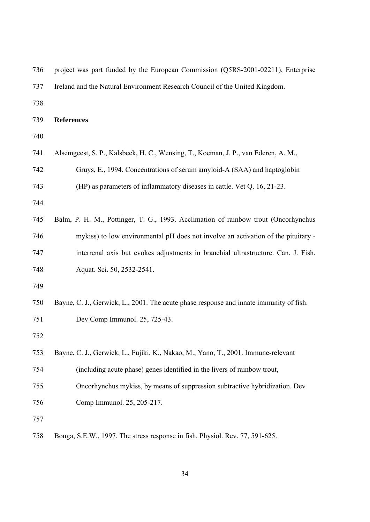| 736 | project was part funded by the European Commission (Q5RS-2001-02211), Enterprise       |
|-----|----------------------------------------------------------------------------------------|
| 737 | Ireland and the Natural Environment Research Council of the United Kingdom.            |
| 738 |                                                                                        |
| 739 | <b>References</b>                                                                      |
| 740 |                                                                                        |
| 741 | Alsemgeest, S. P., Kalsbeek, H. C., Wensing, T., Koeman, J. P., van Ederen, A. M.,     |
| 742 | Gruys, E., 1994. Concentrations of serum amyloid-A (SAA) and haptoglobin               |
| 743 | (HP) as parameters of inflammatory diseases in cattle. Vet Q. 16, 21-23.               |
| 744 |                                                                                        |
| 745 | Balm, P. H. M., Pottinger, T. G., 1993. Acclimation of rainbow trout (Oncorhynchus     |
| 746 | mykiss) to low environmental pH does not involve an activation of the pituitary -      |
| 747 | interrenal axis but evokes adjustments in branchial ultrastructure. Can. J. Fish.      |
| 748 | Aquat. Sci. 50, 2532-2541.                                                             |
| 749 |                                                                                        |
| 750 | Bayne, C. J., Gerwick, L., 2001. The acute phase response and innate immunity of fish. |
| 751 | Dev Comp Immunol. 25, 725-43.                                                          |
| 752 |                                                                                        |
| 753 | Bayne, C. J., Gerwick, L., Fujiki, K., Nakao, M., Yano, T., 2001. Immune-relevant      |
| 754 | (including acute phase) genes identified in the livers of rainbow trout,               |
| 755 | Oncorhynchus mykiss, by means of suppression subtractive hybridization. Dev            |
| 756 | Comp Immunol. 25, 205-217.                                                             |
| 757 |                                                                                        |
| 758 | Bonga, S.E.W., 1997. The stress response in fish. Physiol. Rev. 77, 591-625.           |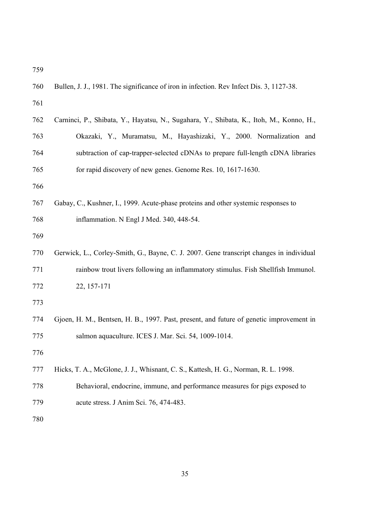| 760 | Bullen, J. J., 1981. The significance of iron in infection. Rev Infect Dis. 3, 1127-38. |  |  |  |  |
|-----|-----------------------------------------------------------------------------------------|--|--|--|--|
| 761 |                                                                                         |  |  |  |  |
| 762 | Carninci, P., Shibata, Y., Hayatsu, N., Sugahara, Y., Shibata, K., Itoh, M., Konno, H., |  |  |  |  |
| 763 | Okazaki, Y., Muramatsu, M., Hayashizaki, Y., 2000. Normalization and                    |  |  |  |  |
| 764 | subtraction of cap-trapper-selected cDNAs to prepare full-length cDNA libraries         |  |  |  |  |
| 765 | for rapid discovery of new genes. Genome Res. 10, 1617-1630.                            |  |  |  |  |
| 766 |                                                                                         |  |  |  |  |
| 767 | Gabay, C., Kushner, I., 1999. Acute-phase proteins and other systemic responses to      |  |  |  |  |
| 768 | inflammation. N Engl J Med. 340, 448-54.                                                |  |  |  |  |
| 769 |                                                                                         |  |  |  |  |
| 770 | Gerwick, L., Corley-Smith, G., Bayne, C. J. 2007. Gene transcript changes in individual |  |  |  |  |
| 771 | rainbow trout livers following an inflammatory stimulus. Fish Shellfish Immunol.        |  |  |  |  |
| 772 | 22, 157-171                                                                             |  |  |  |  |
| 773 |                                                                                         |  |  |  |  |
| 774 | Gjoen, H. M., Bentsen, H. B., 1997. Past, present, and future of genetic improvement in |  |  |  |  |
| 775 | salmon aquaculture. ICES J. Mar. Sci. 54, 1009-1014.                                    |  |  |  |  |
| 776 |                                                                                         |  |  |  |  |
| 777 | Hicks, T. A., McGlone, J. J., Whisnant, C. S., Kattesh, H. G., Norman, R. L. 1998.      |  |  |  |  |
| 778 | Behavioral, endocrine, immune, and performance measures for pigs exposed to             |  |  |  |  |
| 779 | acute stress. J Anim Sci. 76, 474-483.                                                  |  |  |  |  |
| 780 |                                                                                         |  |  |  |  |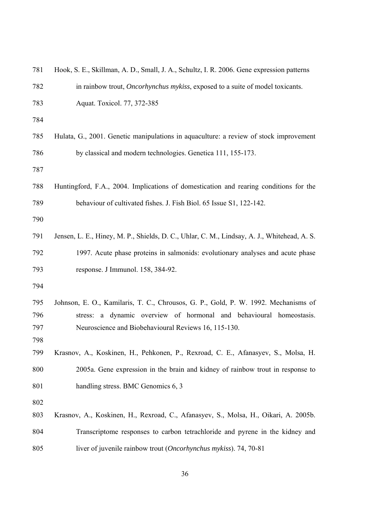| 781 | Hook, S. E., Skillman, A. D., Small, J. A., Schultz, I. R. 2006. Gene expression patterns   |
|-----|---------------------------------------------------------------------------------------------|
| 782 | in rainbow trout, <i>Oncorhynchus mykiss</i> , exposed to a suite of model toxicants.       |
| 783 | Aquat. Toxicol. 77, 372-385                                                                 |
| 784 |                                                                                             |
| 785 | Hulata, G., 2001. Genetic manipulations in aquaculture: a review of stock improvement       |
| 786 | by classical and modern technologies. Genetica 111, 155-173.                                |
| 787 |                                                                                             |
| 788 | Huntingford, F.A., 2004. Implications of domestication and rearing conditions for the       |
| 789 | behaviour of cultivated fishes. J. Fish Biol. 65 Issue S1, 122-142.                         |
| 790 |                                                                                             |
| 791 | Jensen, L. E., Hiney, M. P., Shields, D. C., Uhlar, C. M., Lindsay, A. J., Whitehead, A. S. |
| 792 | 1997. Acute phase proteins in salmonids: evolutionary analyses and acute phase              |
| 793 | response. J Immunol. 158, 384-92.                                                           |
| 794 |                                                                                             |
| 795 | Johnson, E. O., Kamilaris, T. C., Chrousos, G. P., Gold, P. W. 1992. Mechanisms of          |
| 796 | stress: a dynamic overview of hormonal and behavioural homeostasis.                         |
| 797 | Neuroscience and Biobehavioural Reviews 16, 115-130.                                        |
| 798 |                                                                                             |
| 799 | Krasnov, A., Koskinen, H., Pehkonen, P., Rexroad, C. E., Afanasyev, S., Molsa, H.           |
| 800 | 2005a. Gene expression in the brain and kidney of rainbow trout in response to              |
| 801 | handling stress. BMC Genomics 6, 3                                                          |
| 802 |                                                                                             |
| 803 | Krasnov, A., Koskinen, H., Rexroad, C., Afanasyev, S., Molsa, H., Oikari, A. 2005b.         |
| 804 | Transcriptome responses to carbon tetrachloride and pyrene in the kidney and                |
| 805 | liver of juvenile rainbow trout (Oncorhynchus mykiss). 74, 70-81                            |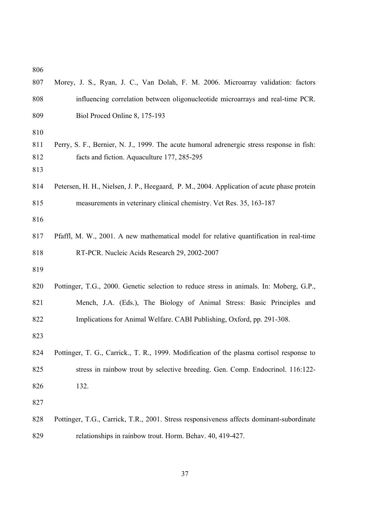| 807                      | Morey, J. S., Ryan, J. C., Van Dolah, F. M. 2006. Microarray validation: factors                                                         |  |  |  |
|--------------------------|------------------------------------------------------------------------------------------------------------------------------------------|--|--|--|
| 808                      | influencing correlation between oligonucleotide microarrays and real-time PCR.                                                           |  |  |  |
| 809                      | Biol Proced Online 8, 175-193                                                                                                            |  |  |  |
| 810<br>811<br>812<br>813 | Perry, S. F., Bernier, N. J., 1999. The acute humoral adrenergic stress response in fish:<br>facts and fiction. Aquaculture 177, 285-295 |  |  |  |
| 814                      | Petersen, H. H., Nielsen, J. P., Heegaard, P. M., 2004. Application of acute phase protein                                               |  |  |  |
| 815                      | measurements in veterinary clinical chemistry. Vet Res. 35, 163-187                                                                      |  |  |  |
| 816                      |                                                                                                                                          |  |  |  |
| 817                      | Pfaffl, M. W., 2001. A new mathematical model for relative quantification in real-time                                                   |  |  |  |
| 818                      | RT-PCR. Nucleic Acids Research 29, 2002-2007                                                                                             |  |  |  |
| 819                      |                                                                                                                                          |  |  |  |
| 820                      | Pottinger, T.G., 2000. Genetic selection to reduce stress in animals. In: Moberg, G.P.,                                                  |  |  |  |
| 821                      | Mench, J.A. (Eds.), The Biology of Animal Stress: Basic Principles and                                                                   |  |  |  |
| 822                      | Implications for Animal Welfare. CABI Publishing, Oxford, pp. 291-308.                                                                   |  |  |  |
| 823                      |                                                                                                                                          |  |  |  |
| 824                      | Pottinger, T. G., Carrick., T. R., 1999. Modification of the plasma cortisol response to                                                 |  |  |  |
| 825                      | stress in rainbow trout by selective breeding. Gen. Comp. Endocrinol. 116:122-                                                           |  |  |  |
| 826                      | 132.                                                                                                                                     |  |  |  |
| 827                      |                                                                                                                                          |  |  |  |
| 828                      | Pottinger, T.G., Carrick, T.R., 2001. Stress responsiveness affects dominant-subordinate                                                 |  |  |  |
| 829                      | relationships in rainbow trout. Horm. Behav. 40, 419-427.                                                                                |  |  |  |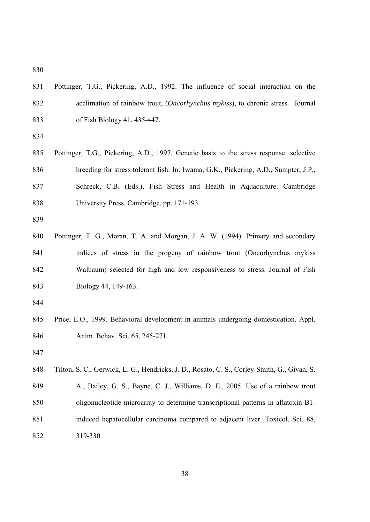- 831 Pottinger, T.G., Pickering, A.D., 1992. The influence of social interaction on the 832 acclimation of rainbow trout, (*Oncorhynchus mykiss*), to chronic stress. Journal 833 of Fish Biology 41, 435-447.
- 834
- 835 Pottinger, T.G., Pickering, A.D., 1997. Genetic basis to the stress response: selective 836 breeding for stress tolerant fish. In: Iwama, G.K., Pickering, A.D., Sumpter, J.P., 837 Schreck, C.B. (Eds.), Fish Stress and Health in Aquaculture. Cambridge 838 University Press, Cambridge, pp. 171-193.
- 839
- 840 Pottinger, T. G., Moran, T. A. and Morgan, J. A. W. (1994). Primary and secondary 841 indices of stress in the progeny of rainbow trout (Oncorhynchus mykiss 842 Walbaum) selected for high and low responsiveness to stress. Journal of Fish 843 Biology 44, 149-163.
- 844
- 845 Price, E.O., 1999. Behavioral development in animals undergoing domestication. Appl. 846 Anim. Behav. Sci. 65, 245-271.
- 847

848 Tilton, S. C., Gerwick, L. G., Hendricks, J. D., Rosato, C. S., Corley-Smith, G., Givan, S. 849 A., Bailey, G. S., Bayne, C. J., Williams, D. E., 2005. Use of a rainbow trout 850 oligonucleotide microarray to determine transcriptional patterns in aflatoxin B1- 851 induced hepatocellular carcinoma compared to adjacent liver. Toxicol. Sci. 88, 852 319-330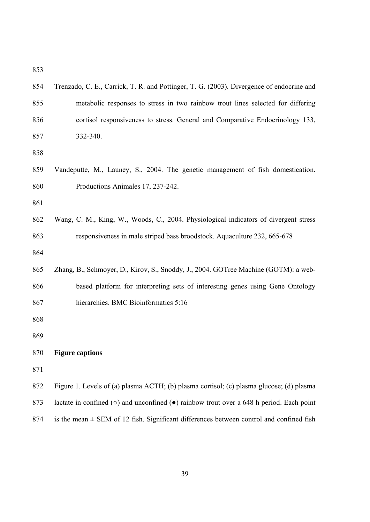| 854 | Trenzado, C. E., Carrick, T. R. and Pottinger, T. G. (2003). Divergence of endocrine and                   |
|-----|------------------------------------------------------------------------------------------------------------|
| 855 | metabolic responses to stress in two rainbow trout lines selected for differing                            |
| 856 | cortisol responsiveness to stress. General and Comparative Endocrinology 133,                              |
| 857 | 332-340.                                                                                                   |
| 858 |                                                                                                            |
| 859 | Vandeputte, M., Launey, S., 2004. The genetic management of fish domestication.                            |
| 860 | Productions Animales 17, 237-242.                                                                          |
| 861 |                                                                                                            |
| 862 | Wang, C. M., King, W., Woods, C., 2004. Physiological indicators of divergent stress                       |
| 863 | responsiveness in male striped bass broodstock. Aquaculture 232, 665-678                                   |
| 864 |                                                                                                            |
| 865 | Zhang, B., Schmoyer, D., Kirov, S., Snoddy, J., 2004. GOTree Machine (GOTM): a web-                        |
| 866 | based platform for interpreting sets of interesting genes using Gene Ontology                              |
| 867 | hierarchies. BMC Bioinformatics 5:16                                                                       |
| 868 |                                                                                                            |
| 869 |                                                                                                            |
| 870 | <b>Figure captions</b>                                                                                     |
| 871 |                                                                                                            |
| 872 | Figure 1. Levels of (a) plasma ACTH; (b) plasma cortisol; (c) plasma glucose; (d) plasma                   |
| 873 | lactate in confined ( $\circ$ ) and unconfined ( $\bullet$ ) rainbow trout over a 648 h period. Each point |
| 874 | is the mean $\pm$ SEM of 12 fish. Significant differences between control and confined fish                |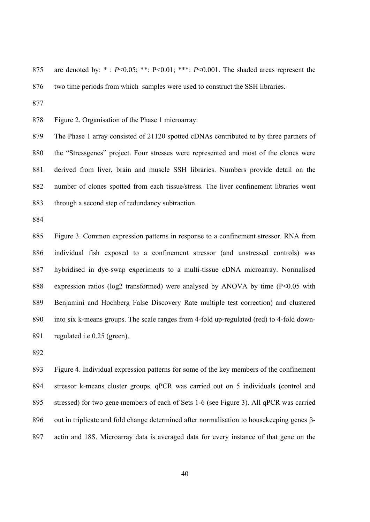875 are denoted by: \* : *P*<0.05; \*\*: P<0.01; \*\*\*: *P*<0.001. The shaded areas represent the 876 two time periods from which samples were used to construct the SSH libraries.

877

878 Figure 2. Organisation of the Phase 1 microarray.

879 The Phase 1 array consisted of 21120 spotted cDNAs contributed to by three partners of 880 the "Stressgenes" project. Four stresses were represented and most of the clones were 881 derived from liver, brain and muscle SSH libraries. Numbers provide detail on the 882 number of clones spotted from each tissue/stress. The liver confinement libraries went 883 through a second step of redundancy subtraction.

884

885 Figure 3. Common expression patterns in response to a confinement stressor. RNA from 886 individual fish exposed to a confinement stressor (and unstressed controls) was 887 hybridised in dye-swap experiments to a multi-tissue cDNA microarray. Normalised 888 expression ratios (log2 transformed) were analysed by ANOVA by time (P<0.05 with 889 Benjamini and Hochberg False Discovery Rate multiple test correction) and clustered 890 into six k-means groups. The scale ranges from 4-fold up-regulated (red) to 4-fold down-891 regulated i.e.0.25 (green).

892

893 Figure 4. Individual expression patterns for some of the key members of the confinement 894 stressor k-means cluster groups. qPCR was carried out on 5 individuals (control and 895 stressed) for two gene members of each of Sets 1-6 (see Figure 3). All qPCR was carried 896 out in triplicate and fold change determined after normalisation to housekeeping genes β-897 actin and 18S. Microarray data is averaged data for every instance of that gene on the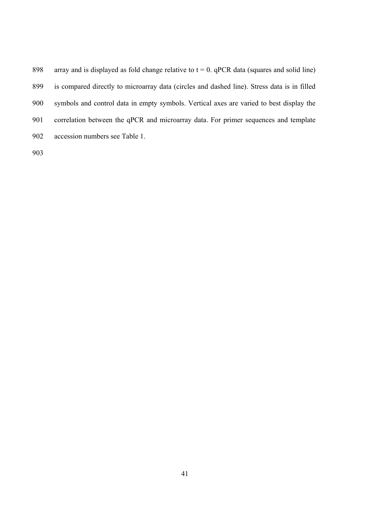898 array and is displayed as fold change relative to  $t = 0$ . qPCR data (squares and solid line) 899 is compared directly to microarray data (circles and dashed line). Stress data is in filled 900 symbols and control data in empty symbols. Vertical axes are varied to best display the 901 correlation between the qPCR and microarray data. For primer sequences and template 902 accession numbers see Table 1. 903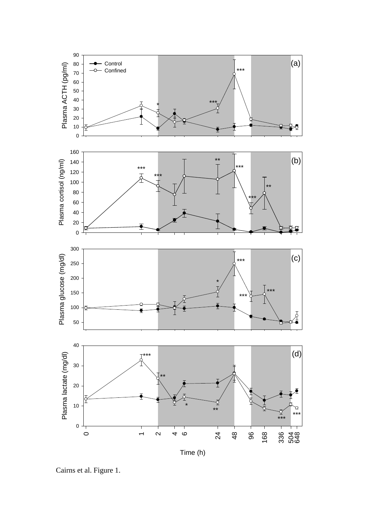

Cairns et al. Figure 1.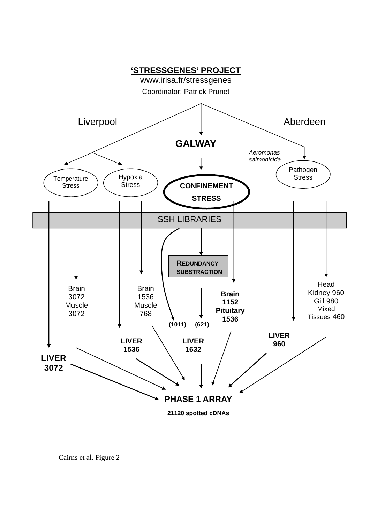

Cairns et al. Figure 2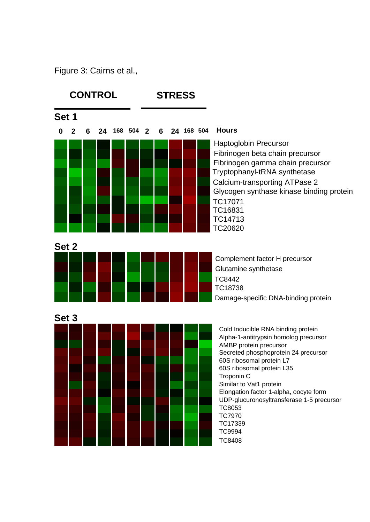Figure 3: Cairns et al.,

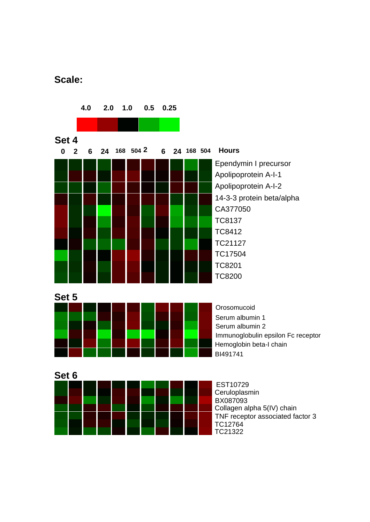## **Scale:**

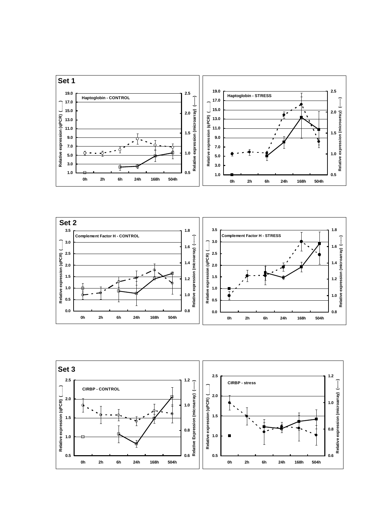



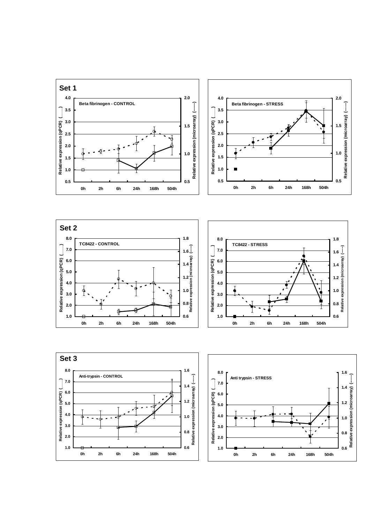







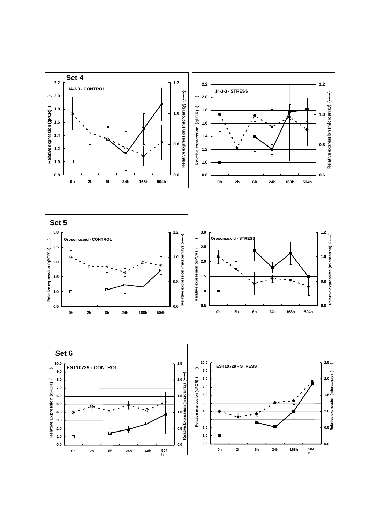



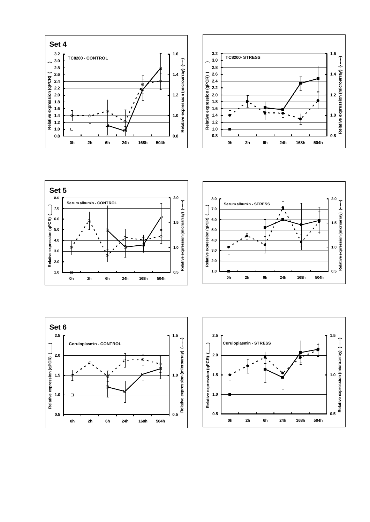